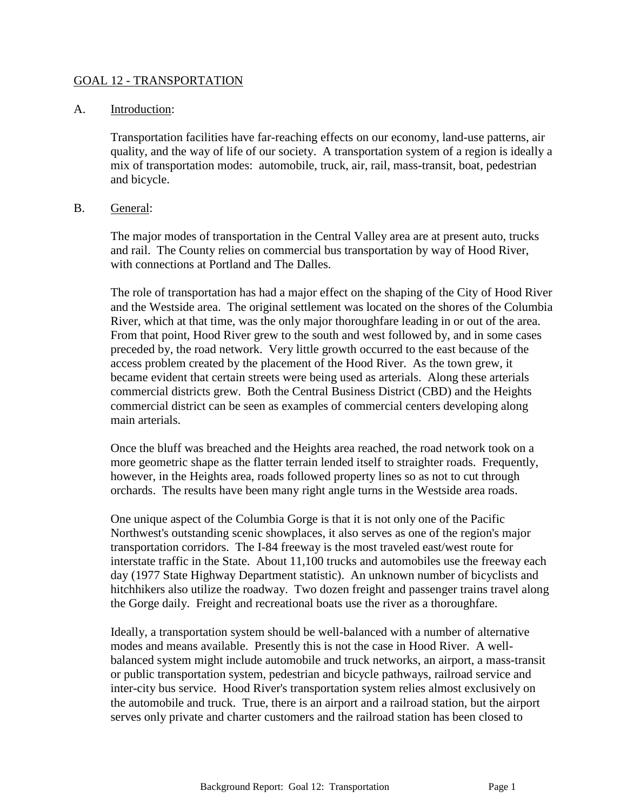### GOAL 12 - TRANSPORTATION

#### A. Introduction:

Transportation facilities have far-reaching effects on our economy, land-use patterns, air quality, and the way of life of our society. A transportation system of a region is ideally a mix of transportation modes: automobile, truck, air, rail, mass-transit, boat, pedestrian and bicycle.

#### B. General:

The major modes of transportation in the Central Valley area are at present auto, trucks and rail. The County relies on commercial bus transportation by way of Hood River, with connections at Portland and The Dalles.

The role of transportation has had a major effect on the shaping of the City of Hood River and the Westside area. The original settlement was located on the shores of the Columbia River, which at that time, was the only major thoroughfare leading in or out of the area. From that point, Hood River grew to the south and west followed by, and in some cases preceded by, the road network. Very little growth occurred to the east because of the access problem created by the placement of the Hood River. As the town grew, it became evident that certain streets were being used as arterials. Along these arterials commercial districts grew. Both the Central Business District (CBD) and the Heights commercial district can be seen as examples of commercial centers developing along main arterials.

Once the bluff was breached and the Heights area reached, the road network took on a more geometric shape as the flatter terrain lended itself to straighter roads. Frequently, however, in the Heights area, roads followed property lines so as not to cut through orchards. The results have been many right angle turns in the Westside area roads.

One unique aspect of the Columbia Gorge is that it is not only one of the Pacific Northwest's outstanding scenic showplaces, it also serves as one of the region's major transportation corridors. The I-84 freeway is the most traveled east/west route for interstate traffic in the State. About 11,100 trucks and automobiles use the freeway each day (1977 State Highway Department statistic). An unknown number of bicyclists and hitchhikers also utilize the roadway. Two dozen freight and passenger trains travel along the Gorge daily. Freight and recreational boats use the river as a thoroughfare.

Ideally, a transportation system should be well-balanced with a number of alternative modes and means available. Presently this is not the case in Hood River. A wellbalanced system might include automobile and truck networks, an airport, a mass-transit or public transportation system, pedestrian and bicycle pathways, railroad service and inter-city bus service. Hood River's transportation system relies almost exclusively on the automobile and truck. True, there is an airport and a railroad station, but the airport serves only private and charter customers and the railroad station has been closed to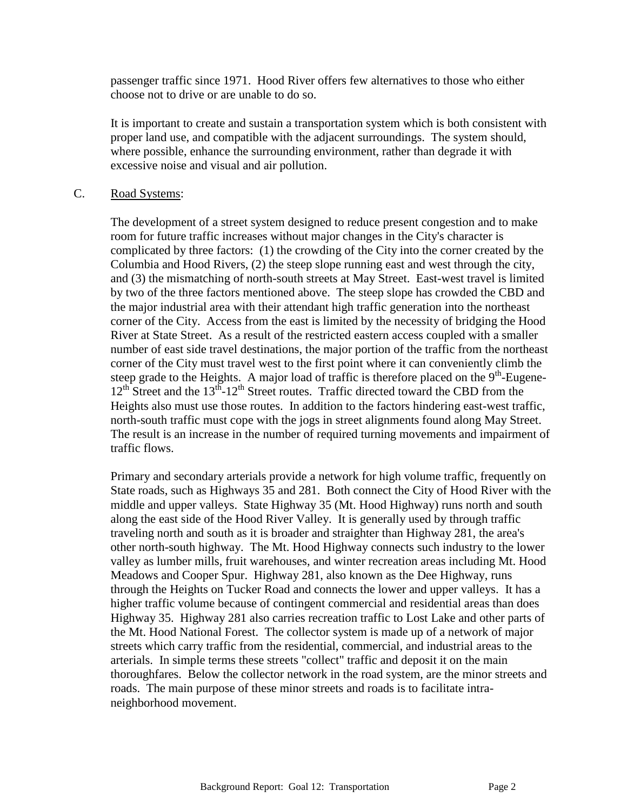passenger traffic since 1971. Hood River offers few alternatives to those who either choose not to drive or are unable to do so.

It is important to create and sustain a transportation system which is both consistent with proper land use, and compatible with the adjacent surroundings. The system should, where possible, enhance the surrounding environment, rather than degrade it with excessive noise and visual and air pollution.

### C. Road Systems:

The development of a street system designed to reduce present congestion and to make room for future traffic increases without major changes in the City's character is complicated by three factors: (1) the crowding of the City into the corner created by the Columbia and Hood Rivers, (2) the steep slope running east and west through the city, and (3) the mismatching of north-south streets at May Street. East-west travel is limited by two of the three factors mentioned above. The steep slope has crowded the CBD and the major industrial area with their attendant high traffic generation into the northeast corner of the City. Access from the east is limited by the necessity of bridging the Hood River at State Street. As a result of the restricted eastern access coupled with a smaller number of east side travel destinations, the major portion of the traffic from the northeast corner of the City must travel west to the first point where it can conveniently climb the steep grade to the Heights. A major load of traffic is therefore placed on the  $9<sup>th</sup>$ -Eugene-12<sup>th</sup> Street and the 13<sup>th</sup>-12<sup>th</sup> Street routes. Traffic directed toward the CBD from the Heights also must use those routes. In addition to the factors hindering east-west traffic, north-south traffic must cope with the jogs in street alignments found along May Street. The result is an increase in the number of required turning movements and impairment of traffic flows.

Primary and secondary arterials provide a network for high volume traffic, frequently on State roads, such as Highways 35 and 281. Both connect the City of Hood River with the middle and upper valleys. State Highway 35 (Mt. Hood Highway) runs north and south along the east side of the Hood River Valley. It is generally used by through traffic traveling north and south as it is broader and straighter than Highway 281, the area's other north-south highway. The Mt. Hood Highway connects such industry to the lower valley as lumber mills, fruit warehouses, and winter recreation areas including Mt. Hood Meadows and Cooper Spur. Highway 281, also known as the Dee Highway, runs through the Heights on Tucker Road and connects the lower and upper valleys. It has a higher traffic volume because of contingent commercial and residential areas than does Highway 35. Highway 281 also carries recreation traffic to Lost Lake and other parts of the Mt. Hood National Forest. The collector system is made up of a network of major streets which carry traffic from the residential, commercial, and industrial areas to the arterials. In simple terms these streets "collect" traffic and deposit it on the main thoroughfares. Below the collector network in the road system, are the minor streets and roads. The main purpose of these minor streets and roads is to facilitate intraneighborhood movement.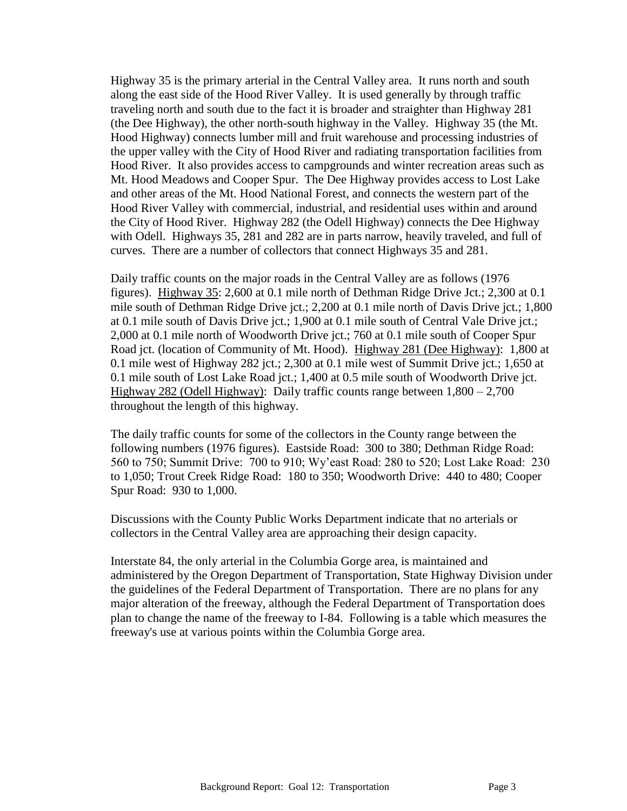Highway 35 is the primary arterial in the Central Valley area. It runs north and south along the east side of the Hood River Valley. It is used generally by through traffic traveling north and south due to the fact it is broader and straighter than Highway 281 (the Dee Highway), the other north-south highway in the Valley. Highway 35 (the Mt. Hood Highway) connects lumber mill and fruit warehouse and processing industries of the upper valley with the City of Hood River and radiating transportation facilities from Hood River. It also provides access to campgrounds and winter recreation areas such as Mt. Hood Meadows and Cooper Spur. The Dee Highway provides access to Lost Lake and other areas of the Mt. Hood National Forest, and connects the western part of the Hood River Valley with commercial, industrial, and residential uses within and around the City of Hood River. Highway 282 (the Odell Highway) connects the Dee Highway with Odell. Highways 35, 281 and 282 are in parts narrow, heavily traveled, and full of curves. There are a number of collectors that connect Highways 35 and 281.

Daily traffic counts on the major roads in the Central Valley are as follows (1976 figures). Highway 35: 2,600 at 0.1 mile north of Dethman Ridge Drive Jct.; 2,300 at 0.1 mile south of Dethman Ridge Drive jct.; 2,200 at 0.1 mile north of Davis Drive jct.; 1,800 at 0.1 mile south of Davis Drive jct.; 1,900 at 0.1 mile south of Central Vale Drive jct.; 2,000 at 0.1 mile north of Woodworth Drive jct.; 760 at 0.1 mile south of Cooper Spur Road jct. (location of Community of Mt. Hood). Highway 281 (Dee Highway): 1,800 at 0.1 mile west of Highway 282 jct.; 2,300 at 0.1 mile west of Summit Drive jct.; 1,650 at 0.1 mile south of Lost Lake Road jct.; 1,400 at 0.5 mile south of Woodworth Drive jct. Highway 282 (Odell Highway): Daily traffic counts range between 1,800 – 2,700 throughout the length of this highway.

The daily traffic counts for some of the collectors in the County range between the following numbers (1976 figures). Eastside Road: 300 to 380; Dethman Ridge Road: 560 to 750; Summit Drive: 700 to 910; Wy'east Road: 280 to 520; Lost Lake Road: 230 to 1,050; Trout Creek Ridge Road: 180 to 350; Woodworth Drive: 440 to 480; Cooper Spur Road: 930 to 1,000.

Discussions with the County Public Works Department indicate that no arterials or collectors in the Central Valley area are approaching their design capacity.

Interstate 84, the only arterial in the Columbia Gorge area, is maintained and administered by the Oregon Department of Transportation, State Highway Division under the guidelines of the Federal Department of Transportation. There are no plans for any major alteration of the freeway, although the Federal Department of Transportation does plan to change the name of the freeway to I-84. Following is a table which measures the freeway's use at various points within the Columbia Gorge area.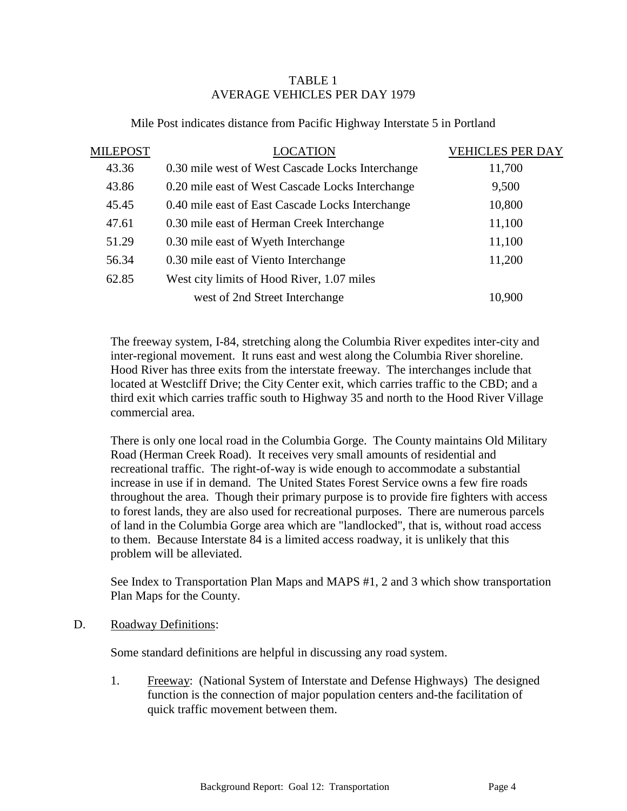# TABLE 1 AVERAGE VEHICLES PER DAY 1979

| MILEPOST | <b>LOCATION</b>                                  | <b>VEHICLES PER DAY</b> |
|----------|--------------------------------------------------|-------------------------|
| 43.36    | 0.30 mile west of West Cascade Locks Interchange | 11,700                  |
| 43.86    | 0.20 mile east of West Cascade Locks Interchange | 9,500                   |
| 45.45    | 0.40 mile east of East Cascade Locks Interchange | 10,800                  |
| 47.61    | 0.30 mile east of Herman Creek Interchange       | 11,100                  |
| 51.29    | 0.30 mile east of Wyeth Interchange              | 11,100                  |
| 56.34    | 0.30 mile east of Viento Interchange             | 11,200                  |
| 62.85    | West city limits of Hood River, 1.07 miles       |                         |
|          | west of 2nd Street Interchange                   | 10,900                  |

### Mile Post indicates distance from Pacific Highway Interstate 5 in Portland

The freeway system, I-84, stretching along the Columbia River expedites inter-city and inter-regional movement. It runs east and west along the Columbia River shoreline. Hood River has three exits from the interstate freeway. The interchanges include that located at Westcliff Drive; the City Center exit, which carries traffic to the CBD; and a third exit which carries traffic south to Highway 35 and north to the Hood River Village commercial area.

There is only one local road in the Columbia Gorge. The County maintains Old Military Road (Herman Creek Road). It receives very small amounts of residential and recreational traffic. The right-of-way is wide enough to accommodate a substantial increase in use if in demand. The United States Forest Service owns a few fire roads throughout the area. Though their primary purpose is to provide fire fighters with access to forest lands, they are also used for recreational purposes. There are numerous parcels of land in the Columbia Gorge area which are "landlocked", that is, without road access to them. Because Interstate 84 is a limited access roadway, it is unlikely that this problem will be alleviated.

See Index to Transportation Plan Maps and MAPS #1, 2 and 3 which show transportation Plan Maps for the County.

#### D. Roadway Definitions:

Some standard definitions are helpful in discussing any road system.

1. Freeway: (National System of Interstate and Defense Highways) The designed function is the connection of major population centers and-the facilitation of quick traffic movement between them.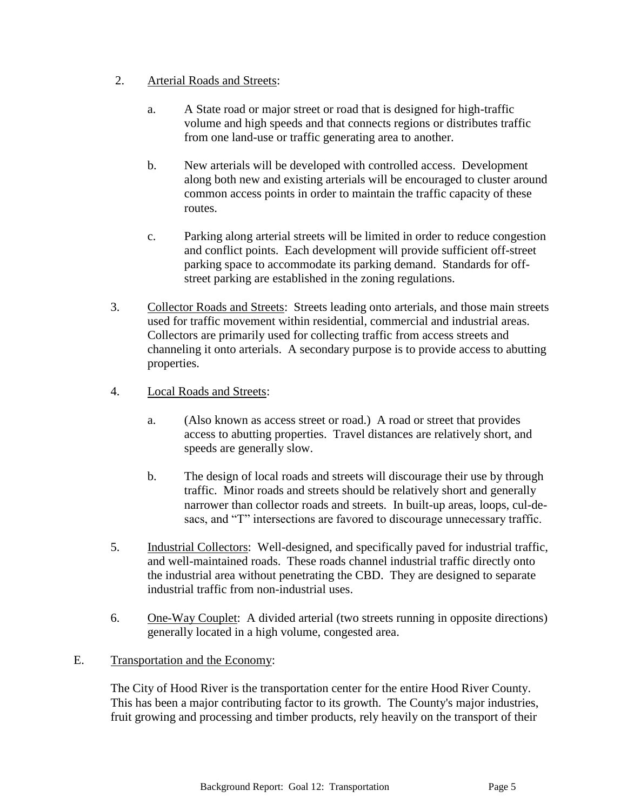## 2. Arterial Roads and Streets:

- a. A State road or major street or road that is designed for high-traffic volume and high speeds and that connects regions or distributes traffic from one land-use or traffic generating area to another.
- b. New arterials will be developed with controlled access. Development along both new and existing arterials will be encouraged to cluster around common access points in order to maintain the traffic capacity of these routes.
- c. Parking along arterial streets will be limited in order to reduce congestion and conflict points. Each development will provide sufficient off-street parking space to accommodate its parking demand. Standards for offstreet parking are established in the zoning regulations.
- 3. Collector Roads and Streets: Streets leading onto arterials, and those main streets used for traffic movement within residential, commercial and industrial areas. Collectors are primarily used for collecting traffic from access streets and channeling it onto arterials. A secondary purpose is to provide access to abutting properties.
- 4. Local Roads and Streets:
	- a. (Also known as access street or road.) A road or street that provides access to abutting properties. Travel distances are relatively short, and speeds are generally slow.
	- b. The design of local roads and streets will discourage their use by through traffic. Minor roads and streets should be relatively short and generally narrower than collector roads and streets. In built-up areas, loops, cul-desacs, and "T" intersections are favored to discourage unnecessary traffic.
- 5. Industrial Collectors: Well-designed, and specifically paved for industrial traffic, and well-maintained roads. These roads channel industrial traffic directly onto the industrial area without penetrating the CBD. They are designed to separate industrial traffic from non-industrial uses.
- 6. One-Way Couplet: A divided arterial (two streets running in opposite directions) generally located in a high volume, congested area.

# E. Transportation and the Economy:

The City of Hood River is the transportation center for the entire Hood River County. This has been a major contributing factor to its growth. The County's major industries, fruit growing and processing and timber products, rely heavily on the transport of their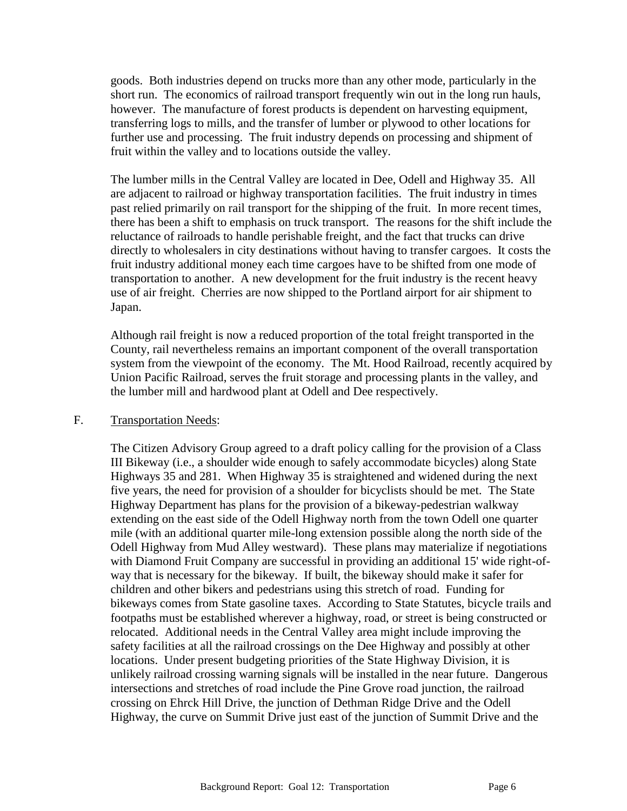goods. Both industries depend on trucks more than any other mode, particularly in the short run. The economics of railroad transport frequently win out in the long run hauls, however. The manufacture of forest products is dependent on harvesting equipment, transferring logs to mills, and the transfer of lumber or plywood to other locations for further use and processing. The fruit industry depends on processing and shipment of fruit within the valley and to locations outside the valley.

The lumber mills in the Central Valley are located in Dee, Odell and Highway 35. All are adjacent to railroad or highway transportation facilities. The fruit industry in times past relied primarily on rail transport for the shipping of the fruit. In more recent times, there has been a shift to emphasis on truck transport. The reasons for the shift include the reluctance of railroads to handle perishable freight, and the fact that trucks can drive directly to wholesalers in city destinations without having to transfer cargoes. It costs the fruit industry additional money each time cargoes have to be shifted from one mode of transportation to another. A new development for the fruit industry is the recent heavy use of air freight. Cherries are now shipped to the Portland airport for air shipment to Japan.

Although rail freight is now a reduced proportion of the total freight transported in the County, rail nevertheless remains an important component of the overall transportation system from the viewpoint of the economy. The Mt. Hood Railroad, recently acquired by Union Pacific Railroad, serves the fruit storage and processing plants in the valley, and the lumber mill and hardwood plant at Odell and Dee respectively.

#### F. Transportation Needs:

The Citizen Advisory Group agreed to a draft policy calling for the provision of a Class III Bikeway (i.e., a shoulder wide enough to safely accommodate bicycles) along State Highways 35 and 281. When Highway 35 is straightened and widened during the next five years, the need for provision of a shoulder for bicyclists should be met. The State Highway Department has plans for the provision of a bikeway-pedestrian walkway extending on the east side of the Odell Highway north from the town Odell one quarter mile (with an additional quarter mile-long extension possible along the north side of the Odell Highway from Mud Alley westward). These plans may materialize if negotiations with Diamond Fruit Company are successful in providing an additional 15' wide right-ofway that is necessary for the bikeway. If built, the bikeway should make it safer for children and other bikers and pedestrians using this stretch of road. Funding for bikeways comes from State gasoline taxes. According to State Statutes, bicycle trails and footpaths must be established wherever a highway, road, or street is being constructed or relocated. Additional needs in the Central Valley area might include improving the safety facilities at all the railroad crossings on the Dee Highway and possibly at other locations. Under present budgeting priorities of the State Highway Division, it is unlikely railroad crossing warning signals will be installed in the near future. Dangerous intersections and stretches of road include the Pine Grove road junction, the railroad crossing on Ehrck Hill Drive, the junction of Dethman Ridge Drive and the Odell Highway, the curve on Summit Drive just east of the junction of Summit Drive and the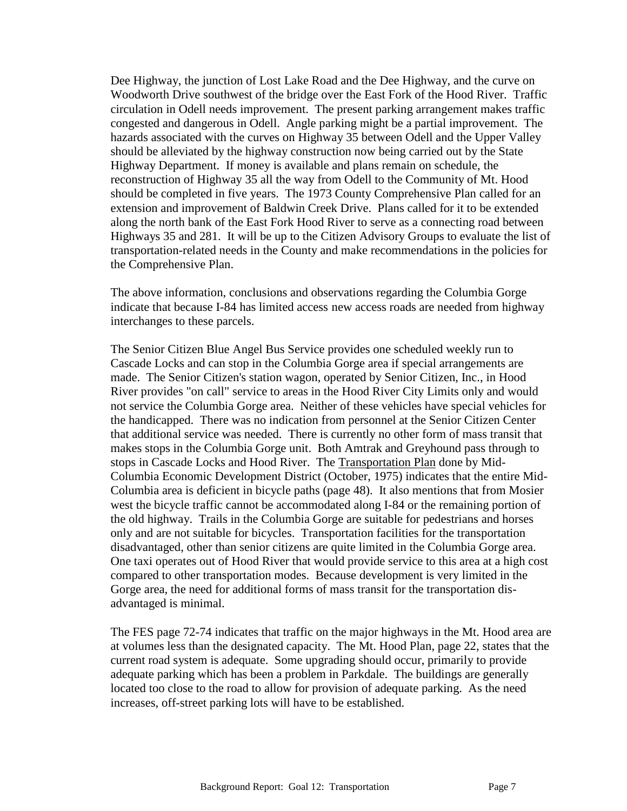Dee Highway, the junction of Lost Lake Road and the Dee Highway, and the curve on Woodworth Drive southwest of the bridge over the East Fork of the Hood River. Traffic circulation in Odell needs improvement. The present parking arrangement makes traffic congested and dangerous in Odell. Angle parking might be a partial improvement. The hazards associated with the curves on Highway 35 between Odell and the Upper Valley should be alleviated by the highway construction now being carried out by the State Highway Department. If money is available and plans remain on schedule, the reconstruction of Highway 35 all the way from Odell to the Community of Mt. Hood should be completed in five years. The 1973 County Comprehensive Plan called for an extension and improvement of Baldwin Creek Drive. Plans called for it to be extended along the north bank of the East Fork Hood River to serve as a connecting road between Highways 35 and 281. It will be up to the Citizen Advisory Groups to evaluate the list of transportation-related needs in the County and make recommendations in the policies for the Comprehensive Plan.

The above information, conclusions and observations regarding the Columbia Gorge indicate that because I-84 has limited access new access roads are needed from highway interchanges to these parcels.

The Senior Citizen Blue Angel Bus Service provides one scheduled weekly run to Cascade Locks and can stop in the Columbia Gorge area if special arrangements are made. The Senior Citizen's station wagon, operated by Senior Citizen, Inc., in Hood River provides "on call" service to areas in the Hood River City Limits only and would not service the Columbia Gorge area. Neither of these vehicles have special vehicles for the handicapped. There was no indication from personnel at the Senior Citizen Center that additional service was needed. There is currently no other form of mass transit that makes stops in the Columbia Gorge unit. Both Amtrak and Greyhound pass through to stops in Cascade Locks and Hood River. The Transportation Plan done by Mid-Columbia Economic Development District (October, 1975) indicates that the entire Mid-Columbia area is deficient in bicycle paths (page 48). It also mentions that from Mosier west the bicycle traffic cannot be accommodated along I-84 or the remaining portion of the old highway. Trails in the Columbia Gorge are suitable for pedestrians and horses only and are not suitable for bicycles. Transportation facilities for the transportation disadvantaged, other than senior citizens are quite limited in the Columbia Gorge area. One taxi operates out of Hood River that would provide service to this area at a high cost compared to other transportation modes. Because development is very limited in the Gorge area, the need for additional forms of mass transit for the transportation disadvantaged is minimal.

The FES page 72-74 indicates that traffic on the major highways in the Mt. Hood area are at volumes less than the designated capacity. The Mt. Hood Plan, page 22, states that the current road system is adequate. Some upgrading should occur, primarily to provide adequate parking which has been a problem in Parkdale. The buildings are generally located too close to the road to allow for provision of adequate parking. As the need increases, off-street parking lots will have to be established.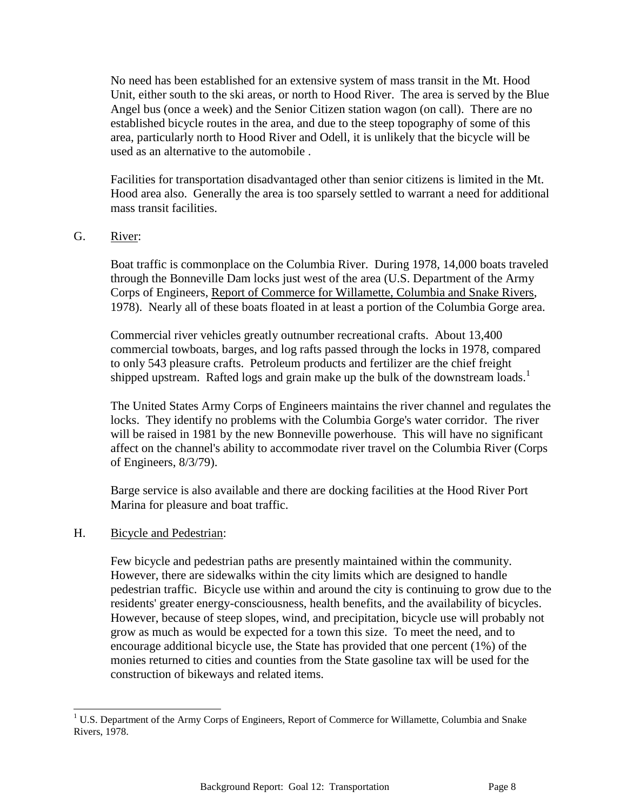No need has been established for an extensive system of mass transit in the Mt. Hood Unit, either south to the ski areas, or north to Hood River. The area is served by the Blue Angel bus (once a week) and the Senior Citizen station wagon (on call). There are no established bicycle routes in the area, and due to the steep topography of some of this area, particularly north to Hood River and Odell, it is unlikely that the bicycle will be used as an alternative to the automobile .

Facilities for transportation disadvantaged other than senior citizens is limited in the Mt. Hood area also. Generally the area is too sparsely settled to warrant a need for additional mass transit facilities.

### G. River:

Boat traffic is commonplace on the Columbia River. During 1978, 14,000 boats traveled through the Bonneville Dam locks just west of the area (U.S. Department of the Army Corps of Engineers, Report of Commerce for Willamette, Columbia and Snake Rivers, 1978). Nearly all of these boats floated in at least a portion of the Columbia Gorge area.

Commercial river vehicles greatly outnumber recreational crafts. About 13,400 commercial towboats, barges, and log rafts passed through the locks in 1978, compared to only 543 pleasure crafts. Petroleum products and fertilizer are the chief freight shipped upstream. Rafted logs and grain make up the bulk of the downstream loads.<sup>1</sup>

The United States Army Corps of Engineers maintains the river channel and regulates the locks. They identify no problems with the Columbia Gorge's water corridor. The river will be raised in 1981 by the new Bonneville powerhouse. This will have no significant affect on the channel's ability to accommodate river travel on the Columbia River (Corps of Engineers, 8/3/79).

Barge service is also available and there are docking facilities at the Hood River Port Marina for pleasure and boat traffic.

#### H. Bicycle and Pedestrian:

 $\overline{a}$ 

Few bicycle and pedestrian paths are presently maintained within the community. However, there are sidewalks within the city limits which are designed to handle pedestrian traffic. Bicycle use within and around the city is continuing to grow due to the residents' greater energy-consciousness, health benefits, and the availability of bicycles. However, because of steep slopes, wind, and precipitation, bicycle use will probably not grow as much as would be expected for a town this size. To meet the need, and to encourage additional bicycle use, the State has provided that one percent (1%) of the monies returned to cities and counties from the State gasoline tax will be used for the construction of bikeways and related items.

 $1 \text{ U.S. Department of the Army Corps of Engineers, Report of Commerce for Willamette, Columbia and Snake}$ Rivers, 1978.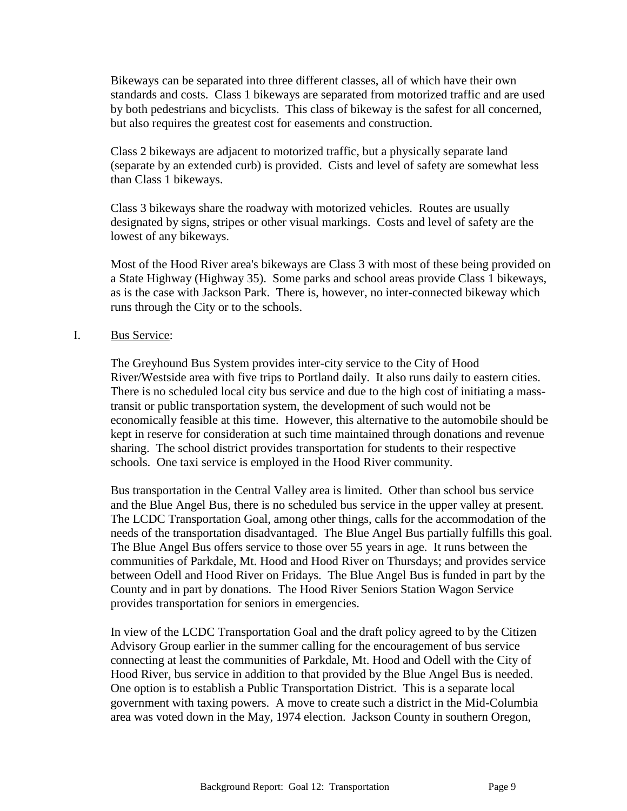Bikeways can be separated into three different classes, all of which have their own standards and costs. Class 1 bikeways are separated from motorized traffic and are used by both pedestrians and bicyclists. This class of bikeway is the safest for all concerned, but also requires the greatest cost for easements and construction.

Class 2 bikeways are adjacent to motorized traffic, but a physically separate land (separate by an extended curb) is provided. Cists and level of safety are somewhat less than Class 1 bikeways.

Class 3 bikeways share the roadway with motorized vehicles. Routes are usually designated by signs, stripes or other visual markings. Costs and level of safety are the lowest of any bikeways.

Most of the Hood River area's bikeways are Class 3 with most of these being provided on a State Highway (Highway 35). Some parks and school areas provide Class 1 bikeways, as is the case with Jackson Park. There is, however, no inter-connected bikeway which runs through the City or to the schools.

### I. Bus Service:

The Greyhound Bus System provides inter-city service to the City of Hood River/Westside area with five trips to Portland daily. It also runs daily to eastern cities. There is no scheduled local city bus service and due to the high cost of initiating a masstransit or public transportation system, the development of such would not be economically feasible at this time. However, this alternative to the automobile should be kept in reserve for consideration at such time maintained through donations and revenue sharing. The school district provides transportation for students to their respective schools. One taxi service is employed in the Hood River community.

Bus transportation in the Central Valley area is limited. Other than school bus service and the Blue Angel Bus, there is no scheduled bus service in the upper valley at present. The LCDC Transportation Goal, among other things, calls for the accommodation of the needs of the transportation disadvantaged. The Blue Angel Bus partially fulfills this goal. The Blue Angel Bus offers service to those over 55 years in age. It runs between the communities of Parkdale, Mt. Hood and Hood River on Thursdays; and provides service between Odell and Hood River on Fridays. The Blue Angel Bus is funded in part by the County and in part by donations. The Hood River Seniors Station Wagon Service provides transportation for seniors in emergencies.

In view of the LCDC Transportation Goal and the draft policy agreed to by the Citizen Advisory Group earlier in the summer calling for the encouragement of bus service connecting at least the communities of Parkdale, Mt. Hood and Odell with the City of Hood River, bus service in addition to that provided by the Blue Angel Bus is needed. One option is to establish a Public Transportation District. This is a separate local government with taxing powers. A move to create such a district in the Mid-Columbia area was voted down in the May, 1974 election. Jackson County in southern Oregon,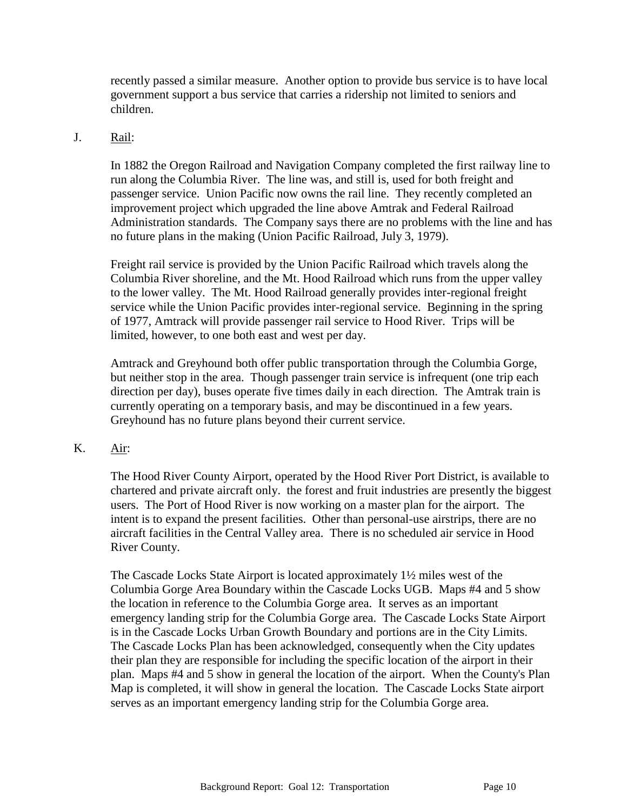recently passed a similar measure. Another option to provide bus service is to have local government support a bus service that carries a ridership not limited to seniors and children.

### J. Rail:

In 1882 the Oregon Railroad and Navigation Company completed the first railway line to run along the Columbia River. The line was, and still is, used for both freight and passenger service. Union Pacific now owns the rail line. They recently completed an improvement project which upgraded the line above Amtrak and Federal Railroad Administration standards. The Company says there are no problems with the line and has no future plans in the making (Union Pacific Railroad, July 3, 1979).

Freight rail service is provided by the Union Pacific Railroad which travels along the Columbia River shoreline, and the Mt. Hood Railroad which runs from the upper valley to the lower valley. The Mt. Hood Railroad generally provides inter-regional freight service while the Union Pacific provides inter-regional service. Beginning in the spring of 1977, Amtrack will provide passenger rail service to Hood River. Trips will be limited, however, to one both east and west per day.

Amtrack and Greyhound both offer public transportation through the Columbia Gorge, but neither stop in the area. Though passenger train service is infrequent (one trip each direction per day), buses operate five times daily in each direction. The Amtrak train is currently operating on a temporary basis, and may be discontinued in a few years. Greyhound has no future plans beyond their current service.

### K. Air:

The Hood River County Airport, operated by the Hood River Port District, is available to chartered and private aircraft only. the forest and fruit industries are presently the biggest users. The Port of Hood River is now working on a master plan for the airport. The intent is to expand the present facilities. Other than personal-use airstrips, there are no aircraft facilities in the Central Valley area. There is no scheduled air service in Hood River County.

The Cascade Locks State Airport is located approximately 1½ miles west of the Columbia Gorge Area Boundary within the Cascade Locks UGB. Maps #4 and 5 show the location in reference to the Columbia Gorge area. It serves as an important emergency landing strip for the Columbia Gorge area. The Cascade Locks State Airport is in the Cascade Locks Urban Growth Boundary and portions are in the City Limits. The Cascade Locks Plan has been acknowledged, consequently when the City updates their plan they are responsible for including the specific location of the airport in their plan. Maps #4 and 5 show in general the location of the airport. When the County's Plan Map is completed, it will show in general the location. The Cascade Locks State airport serves as an important emergency landing strip for the Columbia Gorge area.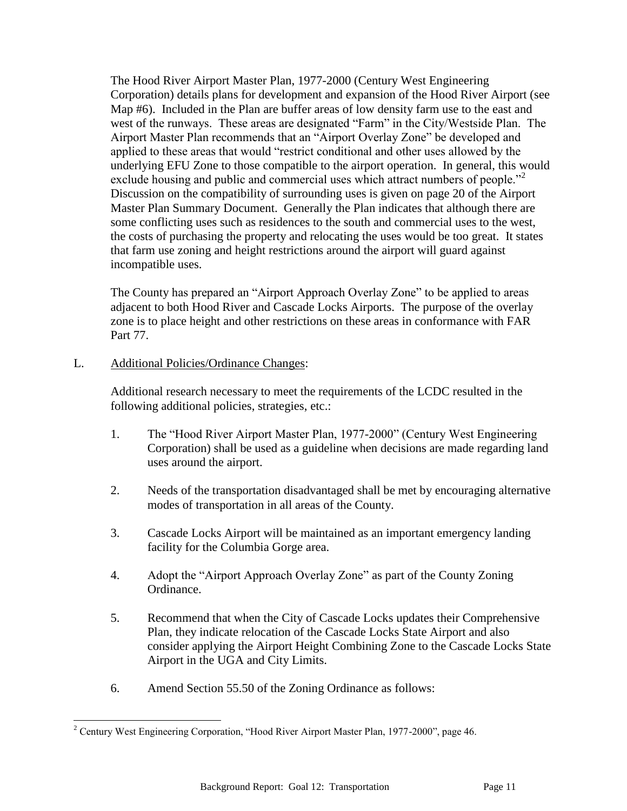The Hood River Airport Master Plan, 1977-2000 (Century West Engineering Corporation) details plans for development and expansion of the Hood River Airport (see Map #6). Included in the Plan are buffer areas of low density farm use to the east and west of the runways. These areas are designated "Farm" in the City/Westside Plan. The Airport Master Plan recommends that an "Airport Overlay Zone" be developed and applied to these areas that would "restrict conditional and other uses allowed by the underlying EFU Zone to those compatible to the airport operation. In general, this would exclude housing and public and commercial uses which attract numbers of people."<sup>2</sup> Discussion on the compatibility of surrounding uses is given on page 20 of the Airport Master Plan Summary Document. Generally the Plan indicates that although there are some conflicting uses such as residences to the south and commercial uses to the west, the costs of purchasing the property and relocating the uses would be too great. It states that farm use zoning and height restrictions around the airport will guard against incompatible uses.

The County has prepared an "Airport Approach Overlay Zone" to be applied to areas adjacent to both Hood River and Cascade Locks Airports. The purpose of the overlay zone is to place height and other restrictions on these areas in conformance with FAR Part 77.

## L. Additional Policies/Ordinance Changes:

l

Additional research necessary to meet the requirements of the LCDC resulted in the following additional policies, strategies, etc.:

- 1. The "Hood River Airport Master Plan, 1977-2000" (Century West Engineering Corporation) shall be used as a guideline when decisions are made regarding land uses around the airport.
- 2. Needs of the transportation disadvantaged shall be met by encouraging alternative modes of transportation in all areas of the County.
- 3. Cascade Locks Airport will be maintained as an important emergency landing facility for the Columbia Gorge area.
- 4. Adopt the "Airport Approach Overlay Zone" as part of the County Zoning Ordinance.
- 5. Recommend that when the City of Cascade Locks updates their Comprehensive Plan, they indicate relocation of the Cascade Locks State Airport and also consider applying the Airport Height Combining Zone to the Cascade Locks State Airport in the UGA and City Limits.
- 6. Amend Section 55.50 of the Zoning Ordinance as follows:

<sup>&</sup>lt;sup>2</sup> Century West Engineering Corporation, "Hood River Airport Master Plan, 1977-2000", page 46.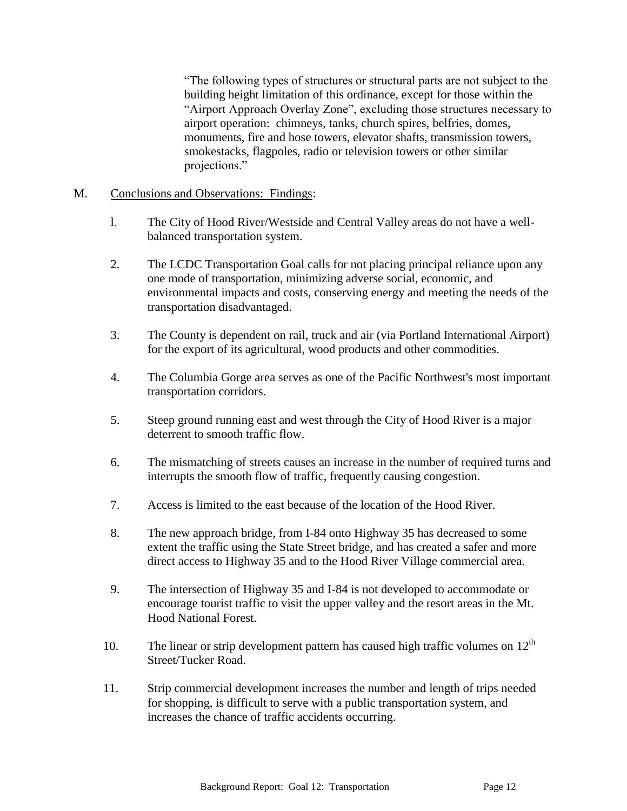"The following types of structures or structural parts are not subject to the building height limitation of this ordinance, except for those within the "Airport Approach Overlay Zone", excluding those structures necessary to airport operation: chimneys, tanks, church spires, belfries, domes, monuments, fire and hose towers, elevator shafts, transmission towers, smokestacks, flagpoles, radio or television towers or other similar projections."

## M. Conclusions and Observations: Findings:

- l. The City of Hood River/Westside and Central Valley areas do not have a wellbalanced transportation system.
- 2. The LCDC Transportation Goal calls for not placing principal reliance upon any one mode of transportation, minimizing adverse social, economic, and environmental impacts and costs, conserving energy and meeting the needs of the transportation disadvantaged.
- 3. The County is dependent on rail, truck and air (via Portland International Airport) for the export of its agricultural, wood products and other commodities.
- 4. The Columbia Gorge area serves as one of the Pacific Northwest's most important transportation corridors.
- 5. Steep ground running east and west through the City of Hood River is a major deterrent to smooth traffic flow.
- 6. The mismatching of streets causes an increase in the number of required turns and interrupts the smooth flow of traffic, frequently causing congestion.
- 7. Access is limited to the east because of the location of the Hood River.
- 8. The new approach bridge, from I-84 onto Highway 35 has decreased to some extent the traffic using the State Street bridge, and has created a safer and more direct access to Highway 35 and to the Hood River Village commercial area.
- 9. The intersection of Highway 35 and I-84 is not developed to accommodate or encourage tourist traffic to visit the upper valley and the resort areas in the Mt. Hood National Forest.
- 10. The linear or strip development pattern has caused high traffic volumes on  $12<sup>th</sup>$ Street/Tucker Road.
- 11. Strip commercial development increases the number and length of trips needed for shopping, is difficult to serve with a public transportation system, and increases the chance of traffic accidents occurring.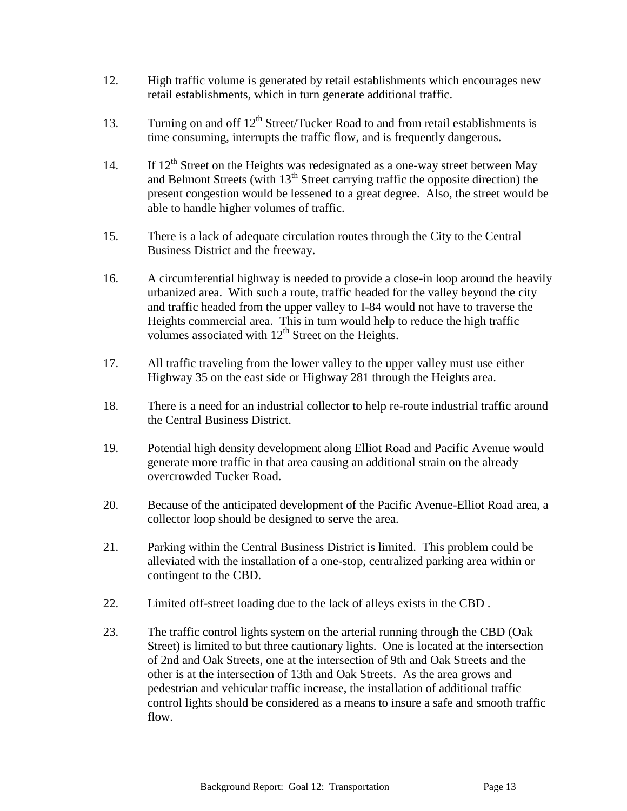- 12. High traffic volume is generated by retail establishments which encourages new retail establishments, which in turn generate additional traffic.
- 13. Turning on and off  $12<sup>th</sup>$  Street/Tucker Road to and from retail establishments is time consuming, interrupts the traffic flow, and is frequently dangerous.
- 14. If  $12<sup>th</sup>$  Street on the Heights was redesignated as a one-way street between May and Belmont Streets (with  $13<sup>th</sup>$  Street carrying traffic the opposite direction) the present congestion would be lessened to a great degree. Also, the street would be able to handle higher volumes of traffic.
- 15. There is a lack of adequate circulation routes through the City to the Central Business District and the freeway.
- 16. A circumferential highway is needed to provide a close-in loop around the heavily urbanized area. With such a route, traffic headed for the valley beyond the city and traffic headed from the upper valley to I-84 would not have to traverse the Heights commercial area. This in turn would help to reduce the high traffic volumes associated with  $12<sup>th</sup>$  Street on the Heights.
- 17. All traffic traveling from the lower valley to the upper valley must use either Highway 35 on the east side or Highway 281 through the Heights area.
- 18. There is a need for an industrial collector to help re-route industrial traffic around the Central Business District.
- 19. Potential high density development along Elliot Road and Pacific Avenue would generate more traffic in that area causing an additional strain on the already overcrowded Tucker Road.
- 20. Because of the anticipated development of the Pacific Avenue-Elliot Road area, a collector loop should be designed to serve the area.
- 21. Parking within the Central Business District is limited. This problem could be alleviated with the installation of a one-stop, centralized parking area within or contingent to the CBD.
- 22. Limited off-street loading due to the lack of alleys exists in the CBD .
- 23. The traffic control lights system on the arterial running through the CBD (Oak Street) is limited to but three cautionary lights. One is located at the intersection of 2nd and Oak Streets, one at the intersection of 9th and Oak Streets and the other is at the intersection of 13th and Oak Streets. As the area grows and pedestrian and vehicular traffic increase, the installation of additional traffic control lights should be considered as a means to insure a safe and smooth traffic flow.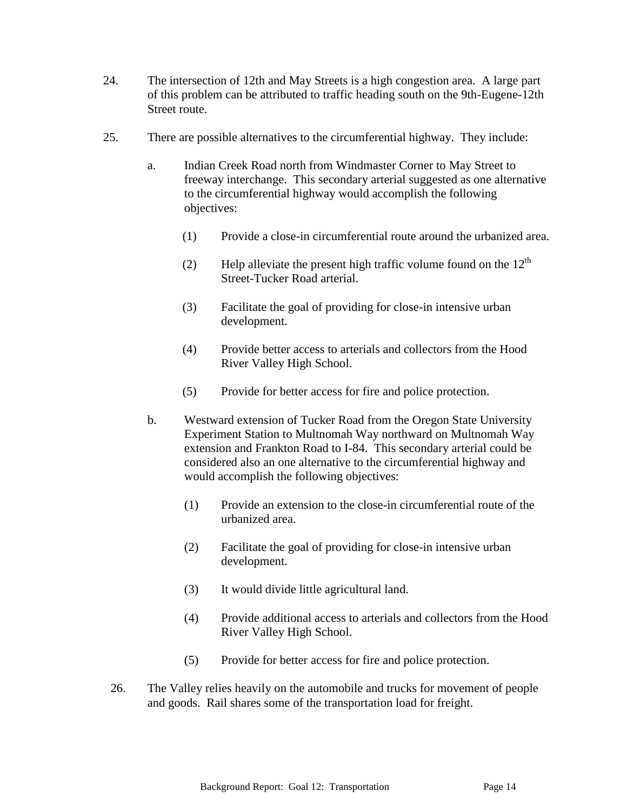- 24. The intersection of 12th and May Streets is a high congestion area. A large part of this problem can be attributed to traffic heading south on the 9th-Eugene-12th Street route.
- 25. There are possible alternatives to the circumferential highway. They include:
	- a. Indian Creek Road north from Windmaster Corner to May Street to freeway interchange. This secondary arterial suggested as one alternative to the circumferential highway would accomplish the following objectives:
		- (1) Provide a close-in circumferential route around the urbanized area.
		- (2) Help alleviate the present high traffic volume found on the  $12<sup>th</sup>$ Street-Tucker Road arterial.
		- (3) Facilitate the goal of providing for close-in intensive urban development.
		- (4) Provide better access to arterials and collectors from the Hood River Valley High School.
		- (5) Provide for better access for fire and police protection.
	- b. Westward extension of Tucker Road from the Oregon State University Experiment Station to Multnomah Way northward on Multnomah Way extension and Frankton Road to I-84. This secondary arterial could be considered also an one alternative to the circumferential highway and would accomplish the following objectives:
		- (1) Provide an extension to the close-in circumferential route of the urbanized area.
		- (2) Facilitate the goal of providing for close-in intensive urban development.
		- (3) It would divide little agricultural land.
		- (4) Provide additional access to arterials and collectors from the Hood River Valley High School.
		- (5) Provide for better access for fire and police protection.
	- 26. The Valley relies heavily on the automobile and trucks for movement of people and goods. Rail shares some of the transportation load for freight.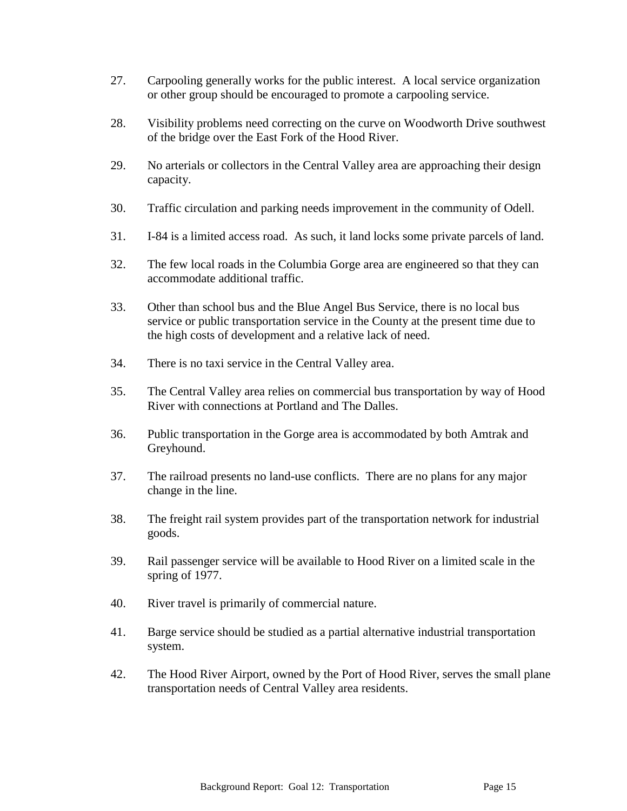- 27. Carpooling generally works for the public interest. A local service organization or other group should be encouraged to promote a carpooling service.
- 28. Visibility problems need correcting on the curve on Woodworth Drive southwest of the bridge over the East Fork of the Hood River.
- 29. No arterials or collectors in the Central Valley area are approaching their design capacity.
- 30. Traffic circulation and parking needs improvement in the community of Odell.
- 31. I-84 is a limited access road. As such, it land locks some private parcels of land.
- 32. The few local roads in the Columbia Gorge area are engineered so that they can accommodate additional traffic.
- 33. Other than school bus and the Blue Angel Bus Service, there is no local bus service or public transportation service in the County at the present time due to the high costs of development and a relative lack of need.
- 34. There is no taxi service in the Central Valley area.
- 35. The Central Valley area relies on commercial bus transportation by way of Hood River with connections at Portland and The Dalles.
- 36. Public transportation in the Gorge area is accommodated by both Amtrak and Greyhound.
- 37. The railroad presents no land-use conflicts. There are no plans for any major change in the line.
- 38. The freight rail system provides part of the transportation network for industrial goods.
- 39. Rail passenger service will be available to Hood River on a limited scale in the spring of 1977.
- 40. River travel is primarily of commercial nature.
- 41. Barge service should be studied as a partial alternative industrial transportation system.
- 42. The Hood River Airport, owned by the Port of Hood River, serves the small plane transportation needs of Central Valley area residents.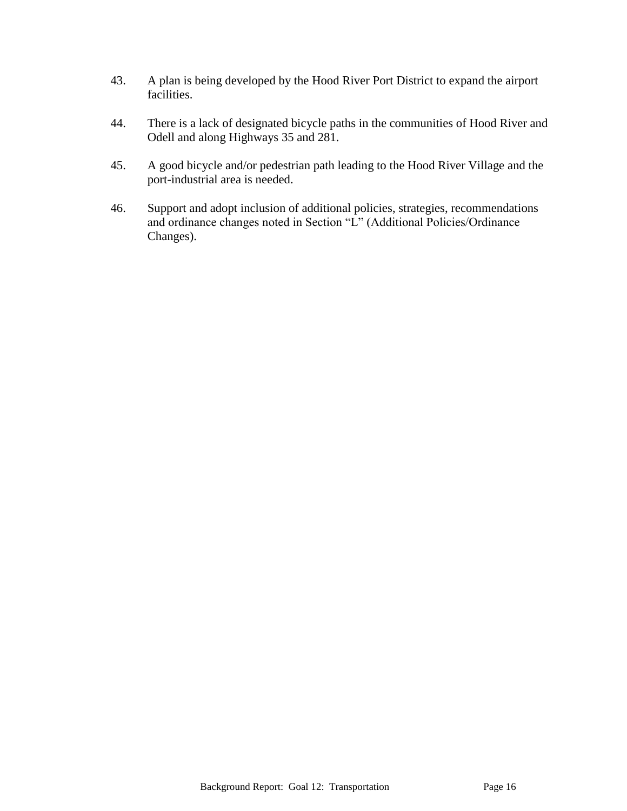- 43. A plan is being developed by the Hood River Port District to expand the airport facilities.
- 44. There is a lack of designated bicycle paths in the communities of Hood River and Odell and along Highways 35 and 281.
- 45. A good bicycle and/or pedestrian path leading to the Hood River Village and the port-industrial area is needed.
- 46. Support and adopt inclusion of additional policies, strategies, recommendations and ordinance changes noted in Section "L" (Additional Policies/Ordinance Changes).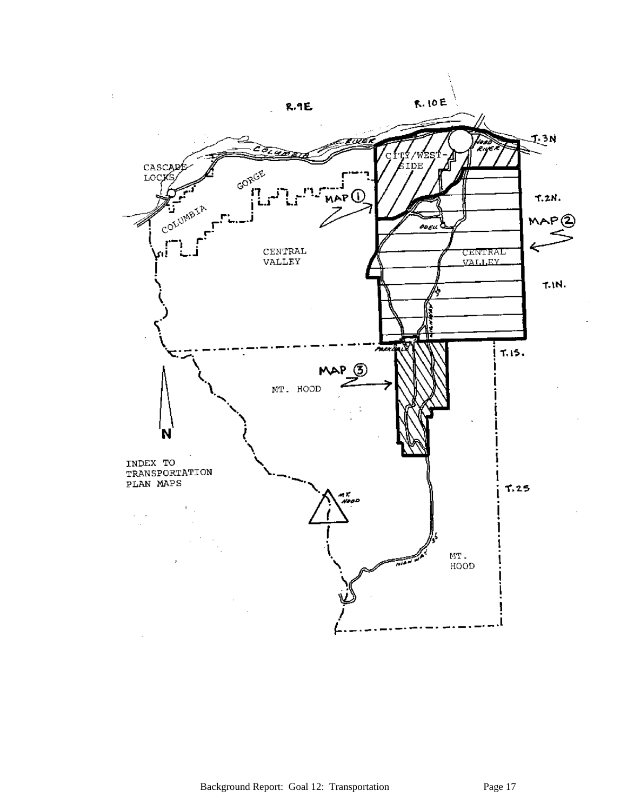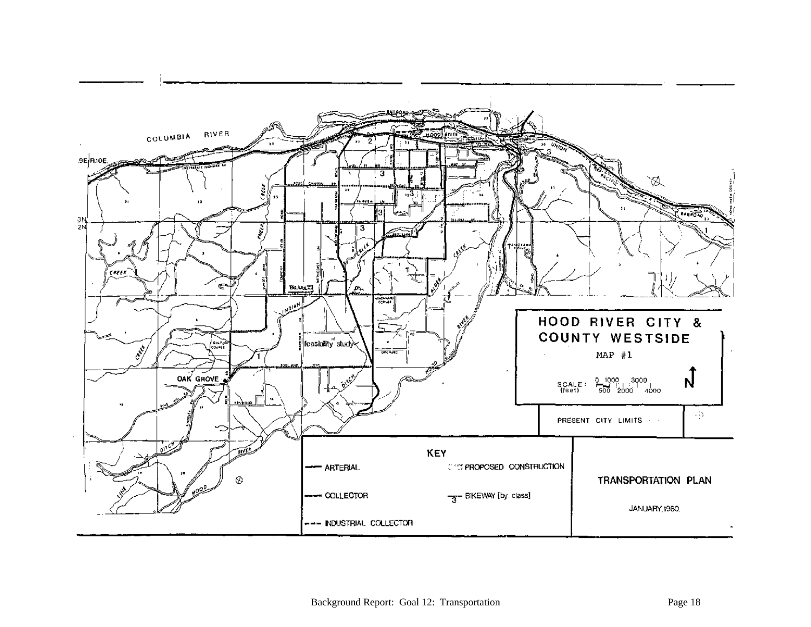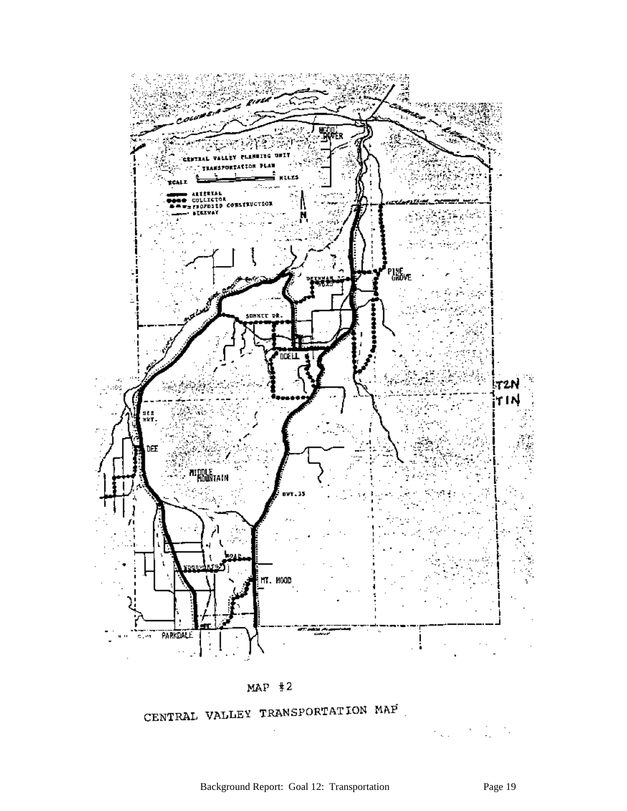

 $MAP$  #2

CENTRAL VALLEY TRANSPORTATION MAF

 $\zeta_{\rm{max}}=2$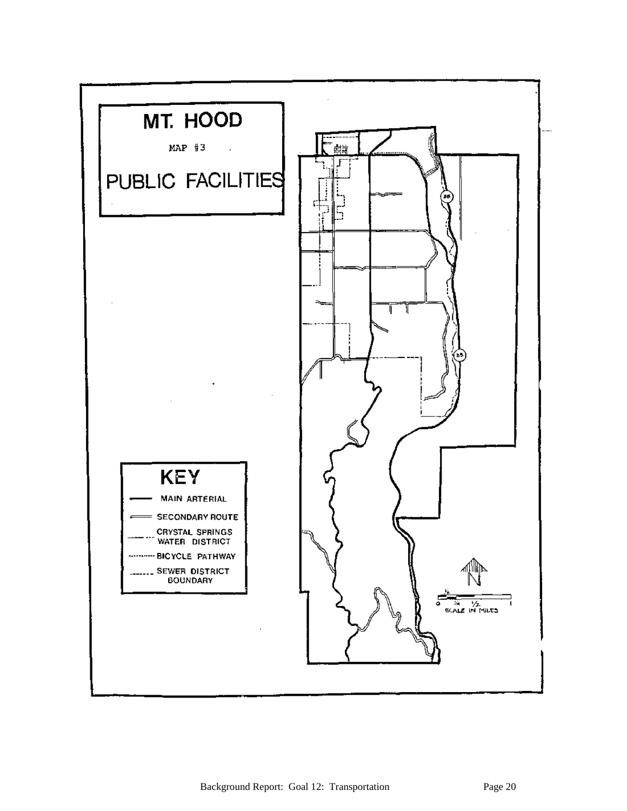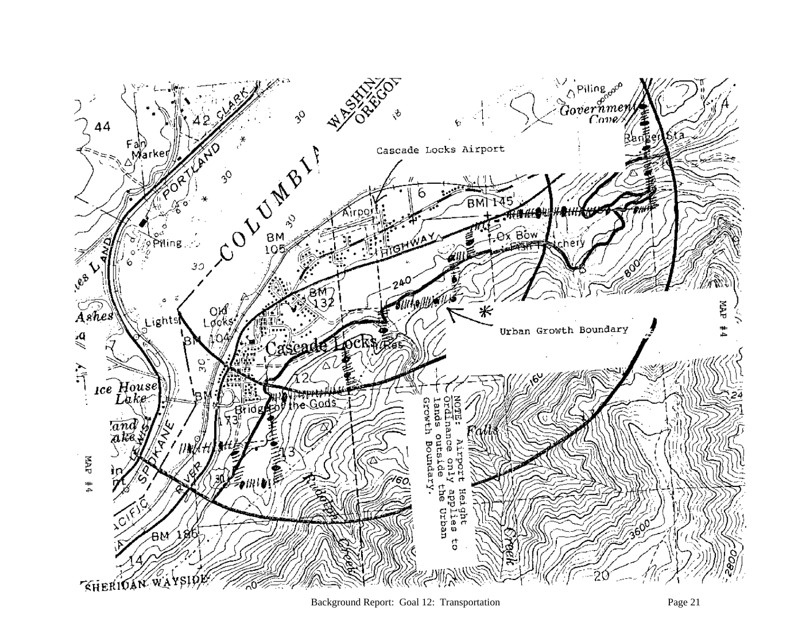

Background Report: Goal 12: Transportation Page 21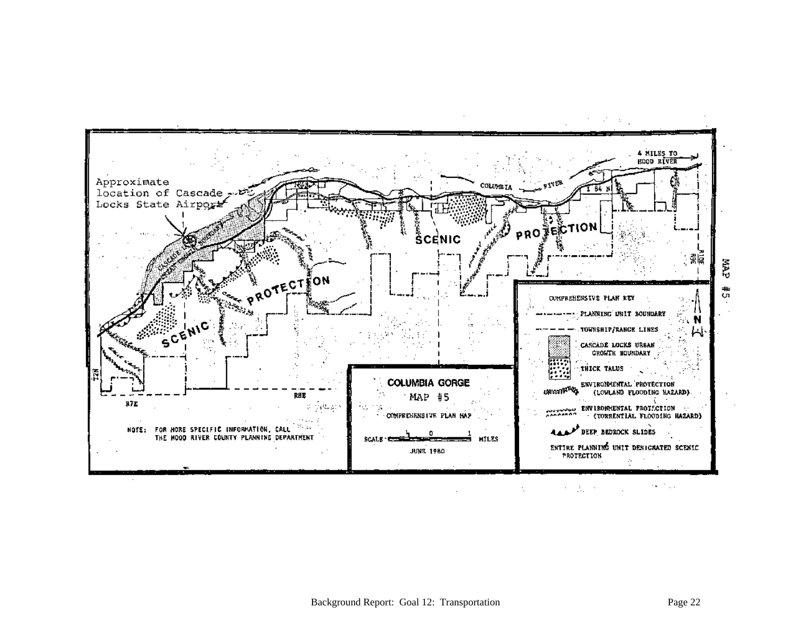

 $\sim 100$  $\lambda=\frac{1}{2m}$  ,  $\lambda$  ,  $\Delta \omega$  $\mathbb{R}^2$